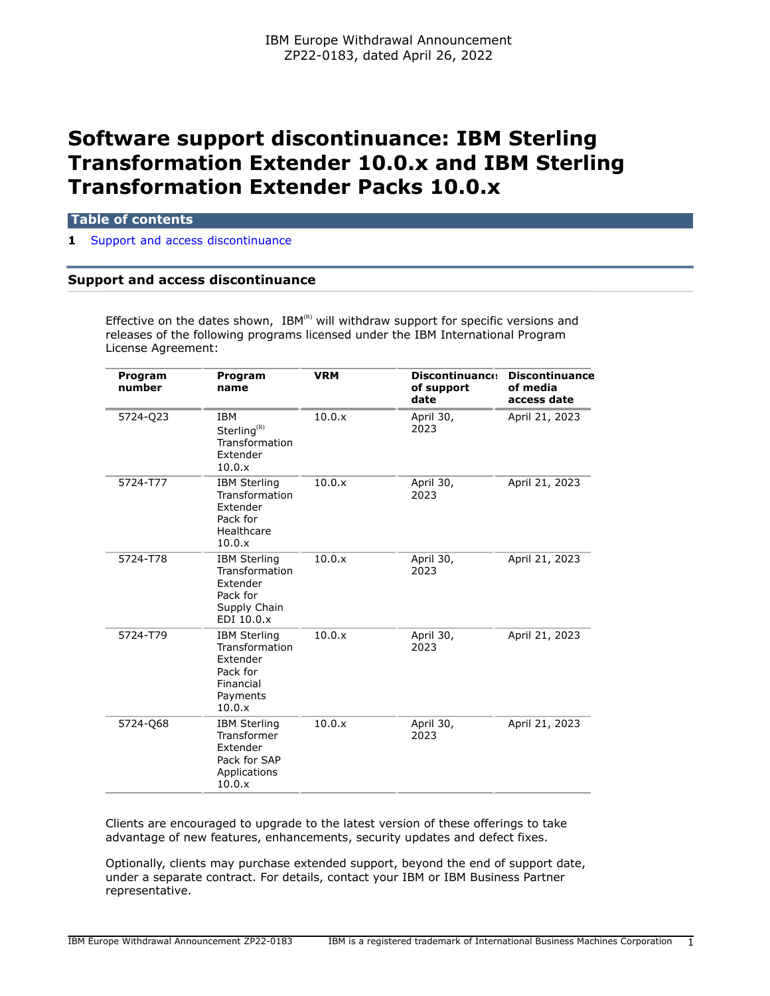# **Software support discontinuance: IBM Sterling Transformation Extender 10.0.x and IBM Sterling Transformation Extender Packs 10.0.x**

### **Table of contents**

**1** [Support and access discontinuance](#page-0-0)

# <span id="page-0-0"></span>**Support and access discontinuance**

Effective on the dates shown,  $IBM^{(R)}$  will withdraw support for specific versions and releases of the following programs licensed under the IBM International Program License Agreement:

| Program<br>number | Program<br>name                                                                                  | <b>VRM</b> | <b>Discontinuance</b><br>of support<br>date | <b>Discontinuance</b><br>of media<br>access date |
|-------------------|--------------------------------------------------------------------------------------------------|------------|---------------------------------------------|--------------------------------------------------|
| 5724-Q23          | <b>IBM</b><br>Sterling <sup>(R)</sup><br>Transformation<br>Extender<br>10.0.x                    | 10.0.x     | April 30,<br>2023                           | April 21, 2023                                   |
| 5724-T77          | <b>IBM Sterling</b><br>Transformation<br>Extender<br>Pack for<br>Healthcare<br>10.0.x            | 10.0.x     | April 30,<br>2023                           | April 21, 2023                                   |
| 5724-T78          | <b>IBM Sterling</b><br>Transformation<br>Extender<br>Pack for<br>Supply Chain<br>EDI 10.0.x      | 10.0.x     | April 30,<br>2023                           | April 21, 2023                                   |
| 5724-T79          | <b>IBM Sterling</b><br>Transformation<br>Extender<br>Pack for<br>Financial<br>Payments<br>10.0.x | 10.0.x     | April 30,<br>2023                           | April 21, 2023                                   |
| 5724-Q68          | <b>IBM Sterling</b><br>Transformer<br>Extender<br>Pack for SAP<br>Applications<br>10.0.x         | 10.0.x     | April 30,<br>2023                           | April 21, 2023                                   |

Clients are encouraged to upgrade to the latest version of these offerings to take advantage of new features, enhancements, security updates and defect fixes.

Optionally, clients may purchase extended support, beyond the end of support date, under a separate contract. For details, contact your IBM or IBM Business Partner representative.